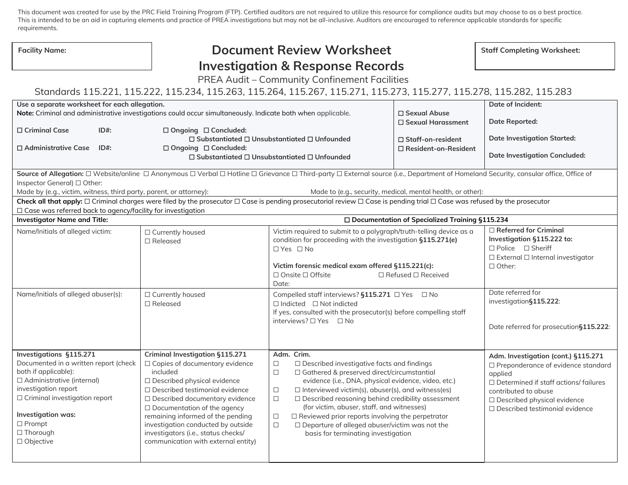This document was created for use by the PRC Field Training Program (FTP). Certified auditors are not required to utilize this resource for compliance audits but may choose to as a best practice. This is intended to be an aid in capturing elements and practice of PREA investigations but may not be all-inclusive. Auditors are encouraged to reference applicable standards for specific requirements.

| requirements.                                                                                                                                                                                                                                                    |                                                                                                                                                                                                                                                                                                                                                                                              |                                                                                                                                                                                                                                                                                                                                                                                                                                                                                                                                                                      |                                    |                                                                                                                                                                                                                                          |  |  |
|------------------------------------------------------------------------------------------------------------------------------------------------------------------------------------------------------------------------------------------------------------------|----------------------------------------------------------------------------------------------------------------------------------------------------------------------------------------------------------------------------------------------------------------------------------------------------------------------------------------------------------------------------------------------|----------------------------------------------------------------------------------------------------------------------------------------------------------------------------------------------------------------------------------------------------------------------------------------------------------------------------------------------------------------------------------------------------------------------------------------------------------------------------------------------------------------------------------------------------------------------|------------------------------------|------------------------------------------------------------------------------------------------------------------------------------------------------------------------------------------------------------------------------------------|--|--|
| <b>Facility Name:</b>                                                                                                                                                                                                                                            | <b>Document Review Worksheet</b>                                                                                                                                                                                                                                                                                                                                                             |                                                                                                                                                                                                                                                                                                                                                                                                                                                                                                                                                                      | <b>Staff Completing Worksheet:</b> |                                                                                                                                                                                                                                          |  |  |
|                                                                                                                                                                                                                                                                  |                                                                                                                                                                                                                                                                                                                                                                                              | <b>Investigation &amp; Response Records</b>                                                                                                                                                                                                                                                                                                                                                                                                                                                                                                                          |                                    |                                                                                                                                                                                                                                          |  |  |
|                                                                                                                                                                                                                                                                  |                                                                                                                                                                                                                                                                                                                                                                                              | PREA Audit - Community Confinement Facilities                                                                                                                                                                                                                                                                                                                                                                                                                                                                                                                        |                                    |                                                                                                                                                                                                                                          |  |  |
| Standards 115.221, 115.222, 115.234, 115.263, 115.264, 115.267, 115.271, 115.273, 115.277, 115.278, 115.282, 115.283                                                                                                                                             |                                                                                                                                                                                                                                                                                                                                                                                              |                                                                                                                                                                                                                                                                                                                                                                                                                                                                                                                                                                      |                                    |                                                                                                                                                                                                                                          |  |  |
| Use a separate worksheet for each allegation.                                                                                                                                                                                                                    |                                                                                                                                                                                                                                                                                                                                                                                              |                                                                                                                                                                                                                                                                                                                                                                                                                                                                                                                                                                      |                                    | Date of Incident:                                                                                                                                                                                                                        |  |  |
|                                                                                                                                                                                                                                                                  | Note: Criminal and administrative investigations could occur simultaneously. Indicate both when applicable.                                                                                                                                                                                                                                                                                  | $\Box$ Sexual Abuse<br>□ Sexual Harassment                                                                                                                                                                                                                                                                                                                                                                                                                                                                                                                           |                                    | <b>Date Reported:</b>                                                                                                                                                                                                                    |  |  |
| □ Criminal Case<br>$ID#$ :                                                                                                                                                                                                                                       | □ Ongoing □ Concluded:                                                                                                                                                                                                                                                                                                                                                                       |                                                                                                                                                                                                                                                                                                                                                                                                                                                                                                                                                                      |                                    | <b>Date Investigation Started:</b>                                                                                                                                                                                                       |  |  |
|                                                                                                                                                                                                                                                                  |                                                                                                                                                                                                                                                                                                                                                                                              | $\Box$ Substantiated $\Box$ Unsubstantiated $\Box$ Unfounded                                                                                                                                                                                                                                                                                                                                                                                                                                                                                                         | □ Staff-on-resident                |                                                                                                                                                                                                                                          |  |  |
| □ Administrative Case<br>$ID#$ :                                                                                                                                                                                                                                 | □ Ongoing □ Concluded:                                                                                                                                                                                                                                                                                                                                                                       | □ Resident-on-Resident<br>$\Box$ Substantiated $\Box$ Unsubstantiated $\Box$ Unfounded                                                                                                                                                                                                                                                                                                                                                                                                                                                                               |                                    | <b>Date Investigation Concluded:</b>                                                                                                                                                                                                     |  |  |
| Source of Allegation: □ Website/online □ Anonymous □ Verbal □ Hotline □ Grievance □ Third-party □ External source (i.e., Department of Homeland Security, consular office, Office of                                                                             |                                                                                                                                                                                                                                                                                                                                                                                              |                                                                                                                                                                                                                                                                                                                                                                                                                                                                                                                                                                      |                                    |                                                                                                                                                                                                                                          |  |  |
| Inspector General) □ Other:                                                                                                                                                                                                                                      |                                                                                                                                                                                                                                                                                                                                                                                              |                                                                                                                                                                                                                                                                                                                                                                                                                                                                                                                                                                      |                                    |                                                                                                                                                                                                                                          |  |  |
| Made by (e.g., victim, witness, third party, parent, or attorney):<br>Made to (e.g., security, medical, mental health, or other):                                                                                                                                |                                                                                                                                                                                                                                                                                                                                                                                              |                                                                                                                                                                                                                                                                                                                                                                                                                                                                                                                                                                      |                                    |                                                                                                                                                                                                                                          |  |  |
| Check all that apply: □ Criminal charges were filed by the prosecutor □ Case is pending prosecutorial review □ Case is pending trial □ Case was refused by the prosecutor<br>$\Box$ Case was referred back to agency/facility for investigation                  |                                                                                                                                                                                                                                                                                                                                                                                              |                                                                                                                                                                                                                                                                                                                                                                                                                                                                                                                                                                      |                                    |                                                                                                                                                                                                                                          |  |  |
| <b>Investigator Name and Title:</b><br>□ Documentation of Specialized Training §115.234                                                                                                                                                                          |                                                                                                                                                                                                                                                                                                                                                                                              |                                                                                                                                                                                                                                                                                                                                                                                                                                                                                                                                                                      |                                    |                                                                                                                                                                                                                                          |  |  |
| Name/Initials of alleged victim:                                                                                                                                                                                                                                 | □ Currently housed<br>$\Box$ Released                                                                                                                                                                                                                                                                                                                                                        | Victim required to submit to a polygraph/truth-telling device as a<br>condition for proceeding with the investigation §115.271(e)<br>$\Box$ Yes $\Box$ No<br>Victim forensic medical exam offered §115.221(c):<br>□ Onsite □ Offsite<br>$\Box$ Refused $\Box$ Received<br>Date:                                                                                                                                                                                                                                                                                      |                                    | $\Box$ Referred for Criminal<br>Investigation §115.222 to:<br>$\Box$ Police $\Box$ Sheriff<br>$\square$ External $\square$ Internal investigator<br>$\Box$ Other:                                                                        |  |  |
| Name/Initials of alleged abuser(s):                                                                                                                                                                                                                              | □ Currently housed<br>$\Box$ Released                                                                                                                                                                                                                                                                                                                                                        | Compelled staff interviews? §115.271 □ Yes □ No<br>$\Box$ Indicted $\Box$ Not indicted<br>If yes, consulted with the prosecutor(s) before compelling staff<br>interviews? □ Yes □ No                                                                                                                                                                                                                                                                                                                                                                                 |                                    | Date referred for<br>investigation§115.222:<br>Date referred for prosecution§115.222:                                                                                                                                                    |  |  |
| Investigations §115.271<br>Documented in a written report (check<br>both if applicable):<br>□ Administrative (internal)<br>investigation report<br>$\Box$ Criminal investigation report<br>Investigation was:<br>$\Box$ Prompt<br>$\Box$ Thorough<br>□ Objective | Criminal Investigation §115.271<br>□ Copies of documentary evidence<br>included<br>□ Described physical evidence<br>$\Box$ Described testimonial evidence<br>□ Described documentary evidence<br>$\Box$ Documentation of the agency<br>remaining informed of the pending<br>investigation conducted by outside<br>investigators (i.e., status checks/<br>communication with external entity) | Adm. Crim.<br>$\Box$ Described investigative facts and findings<br>$\Box$<br>□ Gathered & preserved direct/circumstantial<br>$\Box$<br>evidence (i.e., DNA, physical evidence, video, etc.)<br>$\Box$<br>$\Box$ Interviewed victim(s), abuser(s), and witness(es)<br>$\Box$<br>$\Box$ Described reasoning behind credibility assessment<br>(for victim, abuser, staff, and witnesses)<br>$\Box$ Reviewed prior reports involving the perpetrator<br>$\Box$<br>$\Box$ Departure of alleged abuser/victim was not the<br>$\Box$<br>basis for terminating investigation |                                    | Adm. Investigation (cont.) §115.271<br>□ Preponderance of evidence standard<br>applied<br>$\Box$ Determined if staff actions/ failures<br>contributed to abuse<br>□ Described physical evidence<br>$\Box$ Described testimonial evidence |  |  |